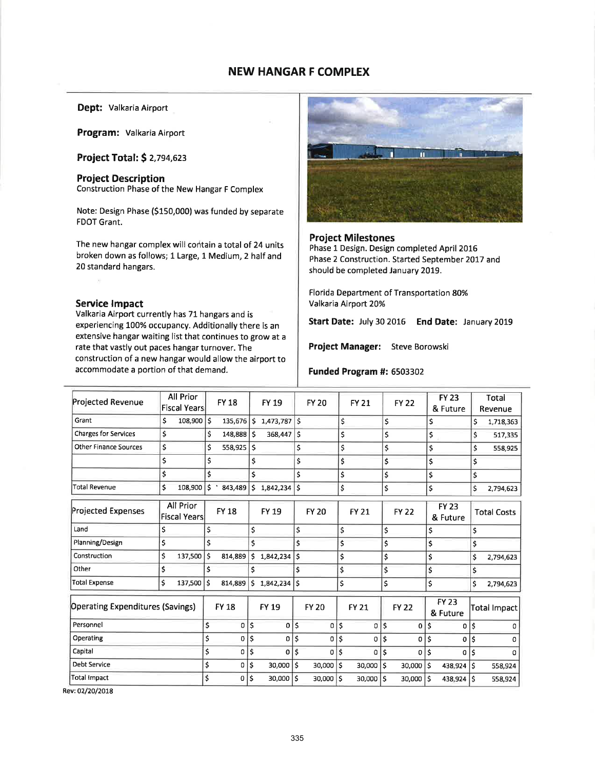# NEW HANGAR F COMPLEX

# Dept: Valkaria Airport

Program: Valkaria Airport

Project Total: \$ 2,794,623

# Project Description Construction Phase of the New Hangar F Complex

Note: Design Phase (S150,000) was funded by separate FDOT Grant.

The new hangar complex will contain a total of 24 units broken down as follows; 1 Large, 1 Medium, 2 half and 20 standard hangars.

### Service lmpact

Valkaria Airport currently has 71 hangars and is experiencing 100% occupancy. Additionally there is an extensive hangar waiting list that continues to grow at <sup>a</sup> rate that vastly out paces hangar turnover. The construction of a new hangar would allow the airport to accommodate a portion of that demand.



## Project Milestones

Phase 1 Design. Design completed April 2016 Phase 2 Construction. Started September 2017 and should be completed January 2019.

Florida Department of Transportation 80% Valkaria Airport 20%

Start Date: July 30 2016 End Date: January 2019

Project Manager: Steve Borowski

### Funded Program #: 6503302

| Projected Revenue                       | All Prior<br><b>Fiscal Years</b> |     | <b>FY 18</b> |            | FY 19          |              | <b>FY 20</b> |    | <b>FY 21</b> |               | <b>FY 22</b> | <b>FY 23</b><br>& Future |                          |    | Total<br>Revenue   |
|-----------------------------------------|----------------------------------|-----|--------------|------------|----------------|--------------|--------------|----|--------------|---------------|--------------|--------------------------|--------------------------|----|--------------------|
| Grant                                   | \$<br>108,900                    | l\$ | 135,676      | l s        | 1,473,787      | l\$          |              | \$ |              | \$            |              | \$                       |                          | \$ | 1,718,363          |
| Charges for Services                    | \$                               | \$  | 148,888 \$   |            | 368,447        | ١ś           |              | \$ |              | \$            |              | \$                       |                          | \$ | 517,335            |
| <b>Other Finance Sources</b>            | \$                               | \$  | 558,925      | ١ś         |                | \$           |              | \$ |              | \$            |              | \$                       |                          | Ś  | 558,925            |
|                                         | \$                               | \$  |              | \$         |                | \$           |              | \$ |              | \$            |              | \$                       |                          | \$ |                    |
|                                         | \$                               | \$  |              | \$         |                | \$           |              | \$ |              | \$            |              | \$                       |                          | \$ |                    |
| Total Revenue                           | \$<br>108,900                    | \$  | 843,489      | \$         | 1,842,234      | \$           |              | \$ |              | \$            |              | \$                       |                          | Ś  | 2,794,623          |
| <b>Projected Expenses</b>               | All Prior<br><b>Fiscal Years</b> |     | <b>FY 18</b> |            | <b>FY 19</b>   |              | <b>FY 20</b> |    | <b>FY 21</b> | <b>FY 22</b>  |              |                          | <b>FY 23</b><br>& Future |    | <b>Total Costs</b> |
| Land                                    | Ś                                | \$  |              | \$         |                | \$           |              | \$ |              | \$            |              | \$                       |                          | \$ |                    |
| Planning/Design                         | \$                               | Ś   |              | \$         |                | \$           |              | \$ |              | \$            |              | \$                       |                          | \$ |                    |
| Construction                            | \$<br>137,500                    | \$  | 814,889      | \$         | 1,842,234      | Ś            |              | \$ |              | \$            |              | \$                       |                          | \$ | 2,794,623          |
| Other                                   | \$                               | Ś   |              | \$         |                | \$           |              | \$ |              | \$            |              | \$                       |                          | \$ |                    |
| <b>Total Expense</b>                    | \$<br>137,500                    | Ś   | 814.889      | \$         | $1,842,234$ S  |              |              | \$ |              | \$            |              | \$                       |                          | \$ | 2,794,623          |
| <b>Operating Expenditures (Savings)</b> |                                  |     | <b>FY 18</b> |            | <b>FY 19</b>   |              | <b>FY 20</b> |    | <b>FY 21</b> |               | <b>FY 22</b> |                          | <b>FY 23</b><br>& Future |    | Total Impact       |
| Personnel                               |                                  | \$  | 0            | \$         | $\overline{0}$ | $\mathsf{s}$ | 0            | \$ | 0            | \$            | 0            | \$                       | 0                        | \$ | o                  |
| Operating                               |                                  | \$  | 0            | \$         | 0              | \$           | 0            | \$ | $\mathbf 0$  | ¦\$           | 0            | \$                       | $\Omega$                 | \$ | o                  |
| Capital                                 |                                  | \$  | 0            | $\ddot{s}$ | $\mathbf 0$    | \$           | $\sigma$     | Ś  | 0            | $\mathsf{\$}$ | 0            | \$                       | $\Omega$                 | \$ | o                  |
| <b>Debt Service</b>                     |                                  | \$  | 0            | \$         | 30,000         | Ŝ            | 30,000       | \$ | 30,000       | \$            | 30,000       | ١s                       | 438,924                  | \$ | 558,924            |
| Total Impact                            |                                  | Ś   | 0            | Ś          | 30,000         | ls           | 30,000       | Ś  | 30,000       | Ś             | 30,000       | \$                       | 438,924                  | Ś  | 558,924            |
|                                         |                                  |     |              |            |                |              |              |    |              |               |              |                          |                          |    |                    |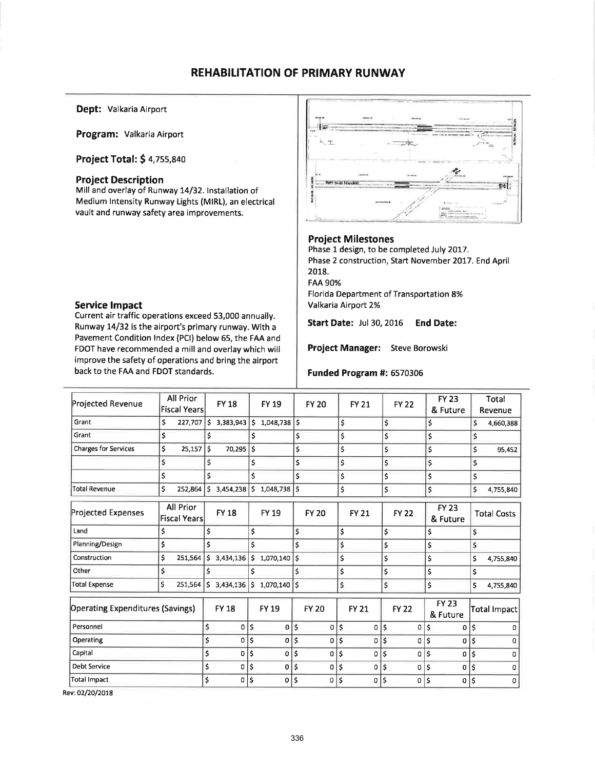# **REHABILITATION OF PRIMARY RUNWAY**

Dept: Valkaria Airport

Program: Valkaria Airport

Project Total: \$ 4,755,840

## **Project Description**

Mill and overlay of Runway 14/32. Installation of Medium Intensity Runway Lights (MIRL), an electrical vault and runway safety area improvements.



Current air traffic operations exceed 53,000 annually. Runway 14/32 is the airport's primary runway. With a Pavement Condition Index (PCI) below 65, the FAA and FDOT have recommended a mill and overlay which will improve the safety of operations and bring the airport back to the FAA and FDOT standards.



### **Project Milestones**

Phase 1 design, to be completed July 2017. Phase 2 construction, Start November 2017. End April 2018. **FAA 90%** Florida Department of Transportation 8% Valkaria Airport 2%

**Start Date: Jul 30, 2016 End Date:** 

Project Manager: Steve Borowski

### Funded Program #: 6570306

| Projected Revenue                       | All Prior<br><b>Fiscal Years</b> |    | <b>FY18</b>    |              | <b>FY 19</b>                    |              | <b>FY 20</b> | <b>FY 21</b> |       | <b>FY 22</b> |     | <b>FY 23</b><br>& Future |    | Total<br>Revenue         |  |                    |
|-----------------------------------------|----------------------------------|----|----------------|--------------|---------------------------------|--------------|--------------|--------------|-------|--------------|-----|--------------------------|----|--------------------------|--|--------------------|
| Grant                                   | \$<br>227,707                    | \$ | $3,383,943$ \$ |              | $1,048,738$ \$                  |              |              | \$           | \$    |              |     | \$                       | \$ | 4,660,388                |  |                    |
| Grant                                   | \$                               | \$ |                | Ś            |                                 | \$           |              | \$           | \$    |              |     | \$                       | \$ |                          |  |                    |
| <b>Charges for Services</b>             | \$<br>25,157                     | \$ | 70,295         | \$           |                                 | \$           |              | \$           | \$    |              |     | \$                       | \$ | 95,452                   |  |                    |
|                                         | \$                               | \$ |                | $\mathsf{S}$ |                                 | \$           |              | \$           | \$    |              |     | Ś                        | \$ |                          |  |                    |
|                                         | \$                               | \$ |                | $\mathsf{s}$ |                                 | \$           |              | \$           | \$    |              |     | \$                       | \$ |                          |  |                    |
| <b>Total Revenue</b>                    | \$<br>252,864                    | Ŝ. | $3,454,238$ \$ |              | 1,048,738                       | Ś            |              | \$           | \$    |              |     | \$                       | \$ | 4,755,840                |  |                    |
| Projected Expenses                      | All Prior<br>Fiscal Years        |    | <b>FY 18</b>   |              | FY 19                           |              | <b>FY 20</b> | <b>FY 21</b> |       | <b>FY 22</b> |     |                          |    | <b>FY 23</b><br>& Future |  | <b>Total Costs</b> |
| Land                                    | \$                               | \$ |                | \$           |                                 | \$           |              | \$           | \$    |              |     | \$                       | \$ |                          |  |                    |
| Planning/Design                         | \$                               | \$ |                | \$           |                                 | \$           |              | \$           | \$    |              |     | \$                       | \$ |                          |  |                    |
| Construction                            | \$<br>251,564                    | S. | 3,434,136      | ۱\$.         | 1,070,140                       | \$           |              | \$           | \$    |              | \$  |                          | Ś  | 4,755,840                |  |                    |
| Other                                   | $\mathsf{\hat{S}}$               | Ś  |                | \$           |                                 | \$           |              | \$           | \$    |              | \$  |                          | \$ |                          |  |                    |
| <b>Total Expense</b>                    | Ś<br>251,564                     | Ŝ. |                |              | $3,434,136$   \$ 1,070,140   \$ |              |              | \$           | \$    |              | \$  |                          | \$ | 4,755,840                |  |                    |
| <b>Operating Expenditures (Savings)</b> |                                  |    | <b>FY 18</b>   |              | <b>FY 19</b>                    |              | <b>FY 20</b> | <b>FY 21</b> |       | <b>FY 22</b> |     | <b>FY 23</b><br>& Future |    | Total Impact             |  |                    |
| Personnel                               |                                  | \$ | $\Omega$       | $\mathsf{S}$ | 0                               | $\mathsf{s}$ | 0            | \$<br>0      | \$    | 0            | \$  | 0                        | \$ | n                        |  |                    |
| Operating                               |                                  | \$ | 0              | \$           | 0                               | Ś            | 0            | \$<br>0      | \$    | 0            | Ś   | 0                        | \$ | O                        |  |                    |
| Capital                                 |                                  | \$ | 0              | \$           | $\sigma$                        | \$           | 0            | \$<br>0      | \$    | 0            | ١\$ | 0                        | \$ | o                        |  |                    |
| <b>Debt Service</b>                     |                                  | \$ | $\sigma$       | \$           | 0                               | Ś            | 0            | \$           | $0$ s | 0            | \$  | o                        | \$ | Ω                        |  |                    |
| <b>Total Impact</b>                     |                                  | \$ | $\Omega$       | \$           | 0                               | Ś            | 0            | \$<br>0      | Ś     | 0            | \$  | O                        | \$ | $\Omega$                 |  |                    |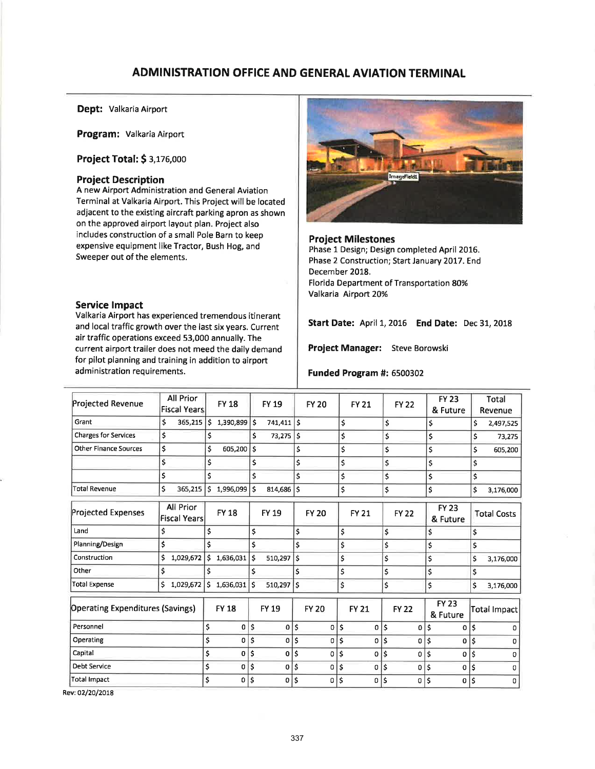# ADMINISTRATION OFFICE AND GENERAL AVIATION TERMINAL

Dept: valkaria Airport

Program: Valkaria Airport

Project Total: \$ 3,175,000

## Project Description

A new Airport Administration and General Aviation Terminal at Valkaria Airport. This Project will be located adjacent to the existing aircraft parking apron as shown on the approved airport layout plan. Project also includes construction of a small Pole Barn to keep expensive equipment like Tractor, Bush Hog, and Sweeper out of the elements.

## Service lmpact

Valkaria Airport has experienced tremendous itinerant and local traffic growth over the last six years. Current air traffic operations exceed 53,000 annually. The current airport trailer does not meed the daily demand for pilot planning and training in addition to airport administration requirements.



Project Milestones Phase 1 Design; Design completed April 2016. Phase 2 Construction; Start January 2017. End December 2018. Florida Department of Transportation 80% Valkaria Airport 20%

Start Date: April 1,2016 End Date: Dec 31,2018

Project Manager: Steve Borowski

### Funded Program #: 6500302

| Projected Revenue                       | All Prior<br><b>Fiscal Years</b> |      | <b>FY 18</b>   |     | <b>FY 19</b>   |     | <b>FY 20</b> | <b>FY 21</b> | <b>FY 22</b>   |                    | <b>FY 23</b><br>& Future |    | Total<br>Revenue   |
|-----------------------------------------|----------------------------------|------|----------------|-----|----------------|-----|--------------|--------------|----------------|--------------------|--------------------------|----|--------------------|
| Grant                                   | \$<br>365,215                    | ۱\$. | $1,390,899$ \$ |     | 741,411        | ۱\$ |              | \$           | \$             |                    | \$                       | \$ | 2,497,525          |
| <b>Charges for Services</b>             | \$                               | \$   |                | \$  | $73,275$ \$    |     |              | \$           | \$             |                    | \$                       | \$ | 73,275             |
| <b>Other Finance Sources</b>            | \$                               | \$   | 605,200        | \$  |                | \$  |              | \$           | \$             |                    | \$                       | \$ | 605,200            |
|                                         | \$                               | \$   |                | \$  |                | \$  |              | \$           | \$             |                    | \$                       | \$ |                    |
|                                         | \$                               | \$   |                | \$  |                | \$  |              | \$           | \$             | \$                 |                          | \$ |                    |
| <b>Total Revenue</b>                    | \$<br>365,215                    | \$   | 1,996,099 \$   |     | 814,686        | Ŝ.  |              | \$           | \$             | Ś                  |                          | \$ | 3,176,000          |
| Projected Expenses                      | All Prior<br><b>Fiscal Years</b> |      | <b>FY 18</b>   |     | <b>FY 19</b>   |     | <b>FY 20</b> | <b>FY 21</b> | <b>FY 22</b>   |                    | <b>FY 23</b><br>& Future |    | <b>Total Costs</b> |
| Land                                    | \$                               | \$   |                | \$  |                | \$  |              | \$           | \$             | \$                 |                          | \$ |                    |
| Planning/Design                         | \$                               | Ś    |                | Ś   |                | \$  |              | \$           | \$             | \$                 |                          | \$ |                    |
| Construction                            | \$<br>1,029,672                  | \$   | 1,636,031      | \$  | 510,297        | \$  |              | \$           | \$             | \$                 |                          | \$ | 3,176,000          |
| Other                                   | \$                               | \$   |                | Ś   |                | \$  |              | \$           | \$             | \$                 |                          | \$ |                    |
| <b>Total Expense</b>                    | Ś<br>1,029,672                   | S.   | $1,636,031$ \$ |     | $510,297$ S    |     |              | \$           | \$             | $\mathsf{\hat{S}}$ |                          | Ś. | 3,176,000          |
| <b>Operating Expenditures (Savings)</b> |                                  |      | <b>FY 18</b>   |     | FY 19          |     | <b>FY 20</b> | <b>FY 21</b> | <b>FY 22</b>   |                    | <b>FY 23</b><br>& Future |    | Total Impact       |
| Personnel                               |                                  | \$   | 0              | ١\$ | $0$   \$       |     | 0            | \$<br>0      | \$<br>0        | \$                 | $\mathbf 0$              | \$ | 0                  |
| Operating                               |                                  | \$   | 0              | ¦\$ | 0 <sup>1</sup> | ۱\$ | 0            | \$<br>0 l    | \$<br>0        | ١\$                | $\Omega$                 | \$ |                    |
| Capital                                 |                                  | \$   | $\mathbf{0}$   | \$  | $\mathbf{0}$   | ١ś  | 0            | \$<br>0      | \$<br>$\Omega$ | \$                 | 0                        | Ś  | 0                  |
| <b>Debt Service</b>                     |                                  | \$   | 0              | \$  | 0              | \$  | 0            | \$<br>0      | \$<br>0        | \$                 | 0                        | Ś  | 0                  |
| Total Impact                            |                                  | \$   | 0              | \$  | 0              | \$  | 0            | \$<br>0      | \$<br>0        | \$                 | 0                        | \$ | 0                  |